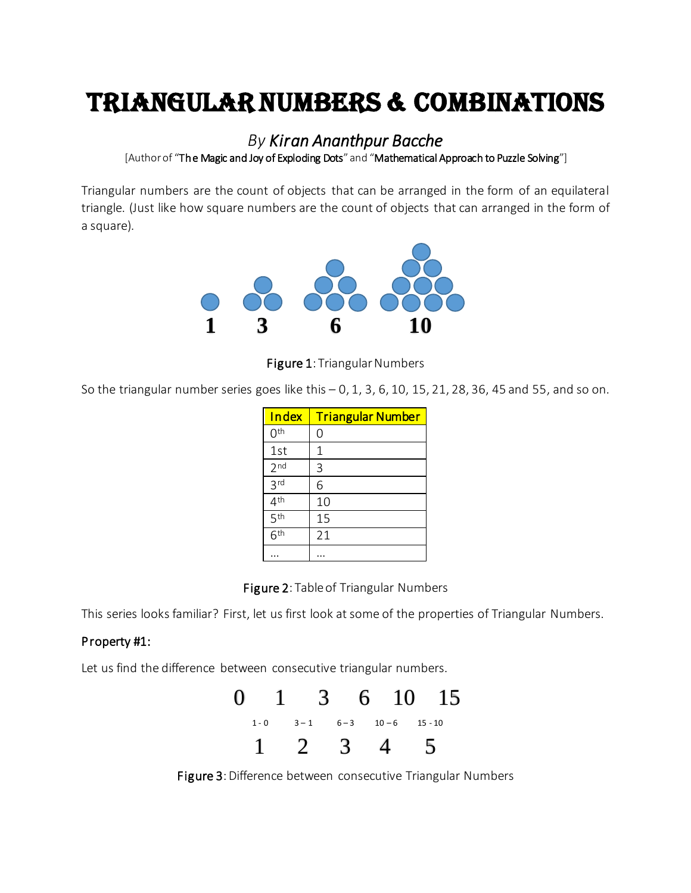## Triangular Numbers & Combinations

*By Kiran Ananthpur Bacche*

[Author of "The Magic and Joy of Exploding Dots" and "Mathematical Approach to Puzzle Solving"]

Triangular numbers are the count of objects that can be arranged in the form of an equilateral triangle. (Just like how square numbers are the count of objects that can arranged in the form of a square).



Figure 1: Triangular Numbers

So the triangular number series goes like this  $-0$ , 1, 3, 6, 10, 15, 21, 28, 36, 45 and 55, and so on.

| Index           | <b>Triangular Number</b> |
|-----------------|--------------------------|
| 0 <sup>th</sup> | 0                        |
| 1st             | 1                        |
| 2 <sub>nd</sub> | 3                        |
| 3 <sub>rd</sub> | 6                        |
| 4 <sup>th</sup> | 10                       |
| 5 <sup>th</sup> | 15                       |
| 6 <sup>th</sup> | 21                       |
|                 |                          |

Figure 2: Table of Triangular Numbers

This series looks familiar? First, let us first look at some of the properties of Triangular Numbers.

## Property #1:

Let us find the difference between consecutive triangular numbers.



Figure 3: Difference between consecutive Triangular Numbers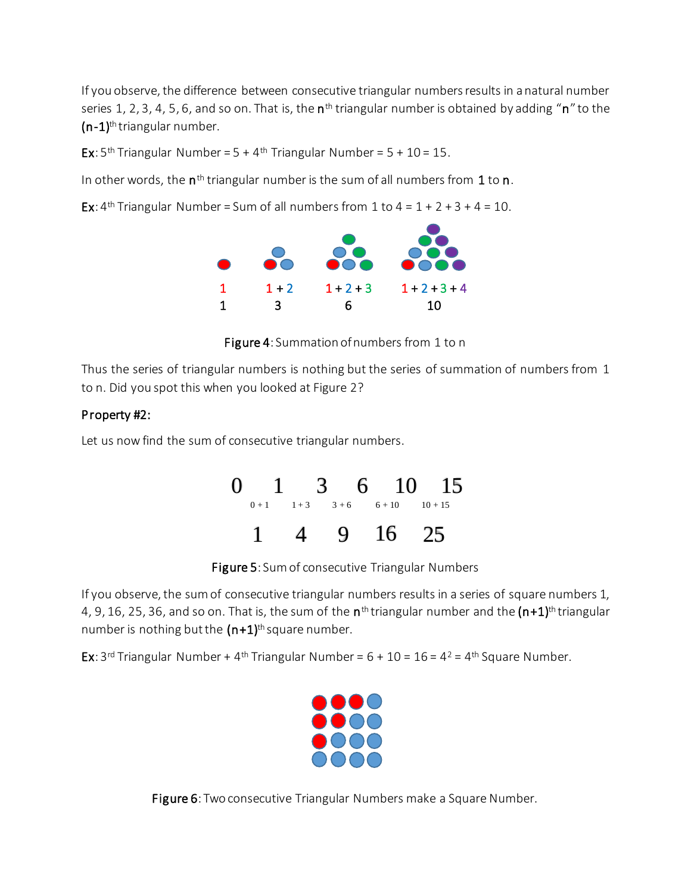If you observe, the difference between consecutive triangular numbers results in a natural number series 1, 2, 3, 4, 5, 6, and so on. That is, the  $\mathsf{n}^\text{th}$  triangular number is obtained by adding " $\mathsf{n}$ " to the  $(n-1)$ <sup>th</sup> triangular number.

Ex:  $5<sup>th</sup>$  Triangular Number =  $5 + 4<sup>th</sup>$  Triangular Number =  $5 + 10 = 15$ .

In other words, the  $n^{\text{th}}$  triangular number is the sum of all numbers from  $1$  to  $n$ .

Ex:  $4<sup>th</sup>$  Triangular Number = Sum of all numbers from 1 to  $4 = 1 + 2 + 3 + 4 = 10$ .



Figure 4: Summation of numbers from 1 to n

Thus the series of triangular numbers is nothing but the series of summation of numbers from 1 to n. Did you spot this when you looked at Figure 2?

## Property #2:

Let us now find the sum of consecutive triangular numbers.

| $\mathbf{0}$ |                   |          | $1 \quad 3 \quad 6 \quad 10 \quad 15$ |
|--------------|-------------------|----------|---------------------------------------|
|              | $0+1$ $1+3$ $3+6$ | $6 + 10$ | $10 + 15$                             |
|              |                   | 9 16 25  |                                       |

Figure 5: Sum of consecutive Triangular Numbers

If you observe, the sum of consecutive triangular numbers results in a series of square numbers 1, 4, 9, 16, 25, 36, and so on. That is, the sum of the  $\mathsf{n}^\text{th}$ triangular number and the  $(\mathsf{n}{+}1)^\text{th}$ triangular number is nothing but the  $(n+1)$ <sup>th</sup> square number.

**Ex**: 3<sup>rd</sup> Triangular Number + 4<sup>th</sup> Triangular Number =  $6 + 10 = 16 = 4^2 = 4$ <sup>th</sup> Square Number.



Figure 6: Two consecutive Triangular Numbers make a Square Number.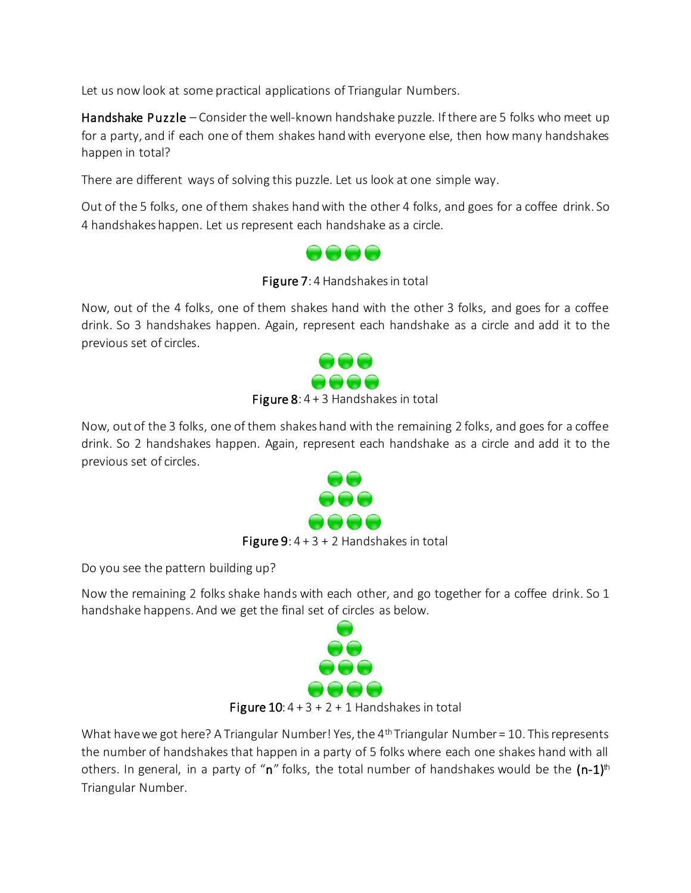Let us now look at some practical applications of Triangular Numbers.

Handshake Puzzle – Consider the well-known handshake puzzle. If there are 5 folks who meet up for a party, and if each one of them shakes hand with everyone else, then how many handshakes happen in total?

There are different ways of solving this puzzle. Let us look at one simple way.

Out of the 5 folks, one of them shakes hand with the other 4 folks, and goes for a coffee drink. So 4 handshakes happen. Let us represent each handshake as a circle.



Figure 7: 4 Handshakes in total

Now, out of the 4 folks, one of them shakes hand with the other 3 folks, and goes for a coffee drink. So 3 handshakes happen. Again, represent each handshake as a circle and add it to the previous set of circles.



Figure  $8: 4 + 3$  Handshakes in total

Now, out of the 3 folks, one of them shakes hand with the remaining 2 folks, and goes for a coffee drink. So 2 handshakes happen. Again, represent each handshake as a circle and add it to the previous set of circles.



**Figure 9:**  $4 + 3 + 2$  Handshakes in total

Do you see the pattern building up?

Now the remaining 2 folks shake hands with each other, and go together for a coffee drink. So 1 handshake happens. And we get the final set of circles as below.



```
What have we got here? A Triangular Number! Yes, the 4<sup>th</sup> Triangular Number = 10. This represents
the number of handshakes that happen in a party of 5 folks where each one shakes hand with all 
others. In general, in a party of "n" folks, the total number of handshakes would be the (n-1)^{th}Triangular Number.
```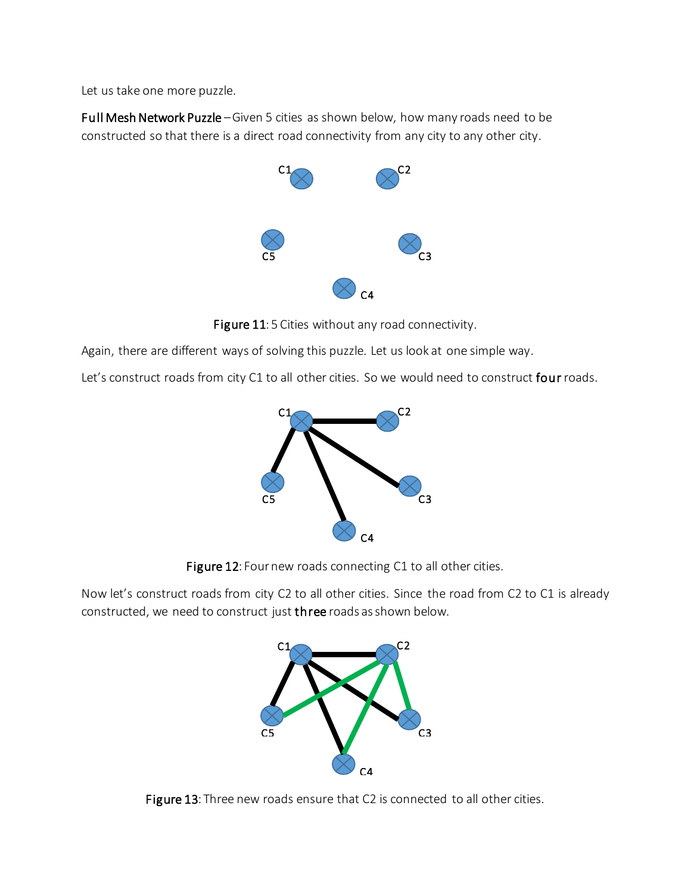Let us take one more puzzle.

Full Mesh Network Puzzle –Given 5 cities as shown below, how many roads need to be constructed so that there is a direct road connectivity from any city to any other city.



Figure 11: 5 Cities without any road connectivity.

Again, there are different ways of solving this puzzle. Let us look at one simple way.

Let's construct roads from city C1 to all other cities. So we would need to construct four roads.





Now let's construct roads from city C2 to all other cities. Since the road from C2 to C1 is already constructed, we need to construct just three roads as shown below.



Figure 13: Three new roads ensure that C2 is connected to all other cities.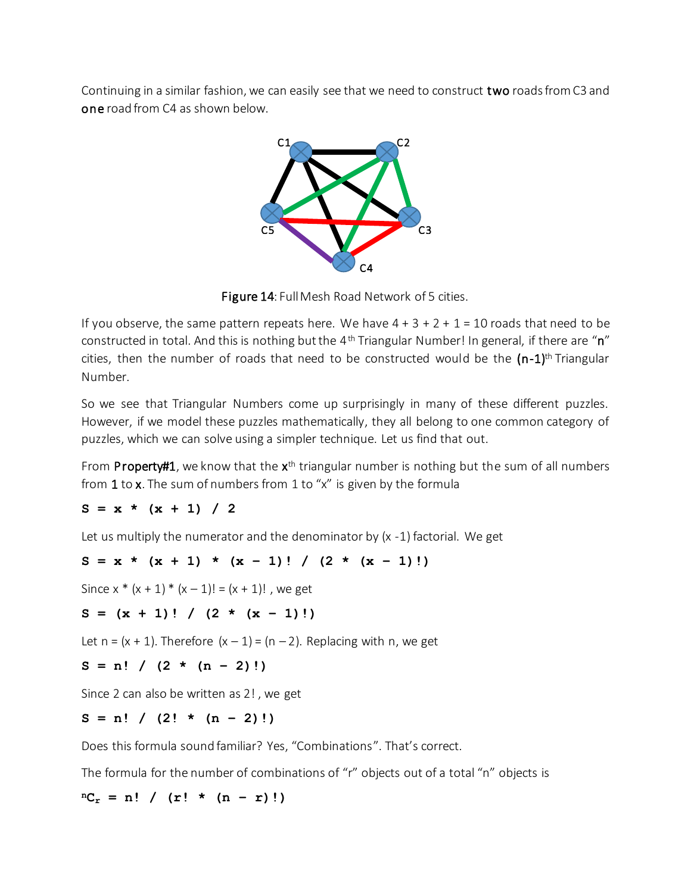Continuing in a similar fashion, we can easily see that we need to construct two roads from C3 and one road from C4 as shown below.



Figure 14: Full Mesh Road Network of 5 cities.

If you observe, the same pattern repeats here. We have  $4 + 3 + 2 + 1 = 10$  roads that need to be constructed in total. And this is nothing but the  $4<sup>th</sup>$  Triangular Number! In general, if there are "n" cities, then the number of roads that need to be constructed would be the  $(n-1)^{th}$  Triangular Number.

So we see that Triangular Numbers come up surprisingly in many of these different puzzles. However, if we model these puzzles mathematically, they all belong to one common category of puzzles, which we can solve using a simpler technique. Let us find that out.

From Property#1, we know that the x<sup>th</sup> triangular number is nothing but the sum of all numbers from 1 to x. The sum of numbers from 1 to "x" is given by the formula

 $S = x * (x + 1) / 2$ 

Let us multiply the numerator and the denominator by (x -1) factorial. We get

$$
S = x * (x + 1) * (x - 1)! / (2 * (x - 1)!)
$$

Since  $x * (x + 1) * (x - 1)! = (x + 1)!$ , we get

$$
S = (x + 1)! / (2 * (x - 1)!)
$$

Let  $n = (x + 1)$ . Therefore  $(x - 1) = (n - 2)$ . Replacing with n, we get

$$
S = n! / (2 * (n - 2)!)
$$

Since 2 can also be written as 2! , we get

 $S = n!$  /  $(2! \star (n-2)!)$ 

Does this formula sound familiar? Yes, "Combinations". That's correct.

The formula for the number of combinations of "r" objects out of a total "n" objects is

 ${}^{n}C_{r} = n!$  / (r! \* (n – r)!)